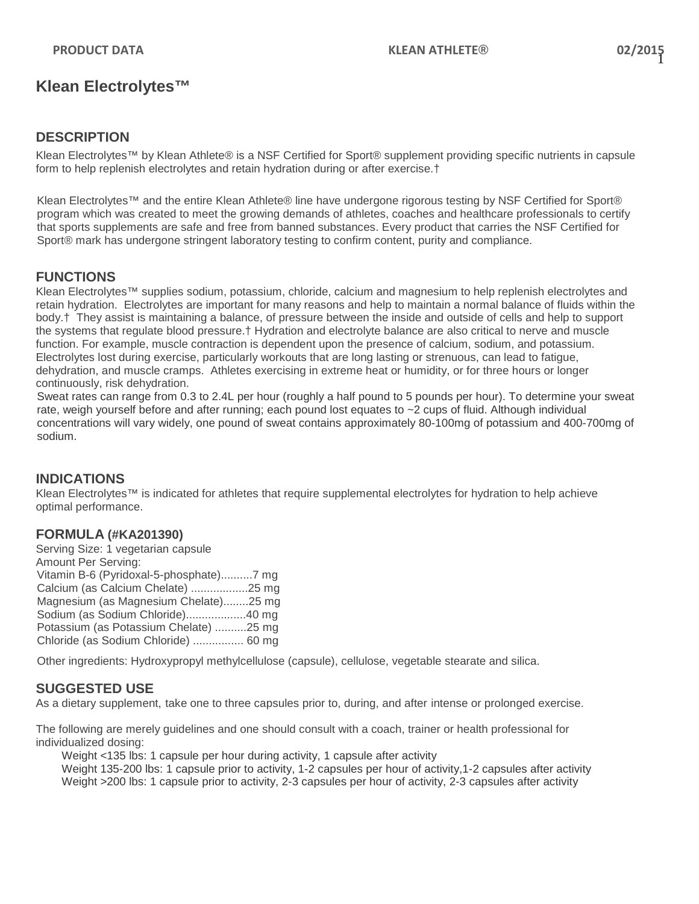# **Klean Electrolytes™**

### **DESCRIPTION**

Klean Electrolytes™ by Klean Athlete® is a NSF Certified for Sport® supplement providing specific nutrients in capsule form to help replenish electrolytes and retain hydration during or after exercise.†

Klean Electrolytes™ and the entire Klean Athlete® line have undergone rigorous testing by NSF Certified for Sport® program which was created to meet the growing demands of athletes, coaches and healthcare professionals to certify that sports supplements are safe and free from banned substances. Every product that carries the NSF Certified for Sport® mark has undergone stringent laboratory testing to confirm content, purity and compliance.

# **FUNCTIONS**

Klean Electrolytes™ supplies sodium, potassium, chloride, calcium and magnesium to help replenish electrolytes and retain hydration. Electrolytes are important for many reasons and help to maintain a normal balance of fluids within the body.† They assist is maintaining a balance, of pressure between the inside and outside of cells and help to support the systems that regulate blood pressure.† Hydration and electrolyte balance are also critical to nerve and muscle function. For example, [muscle contraction](http://en.wikipedia.org/wiki/Muscle_contraction) is dependent upon the presence of calcium, sodium, and potassium. Electrolytes lost during exercise, particularly workouts that are long lasting or strenuous, can lead to fatigue, dehydration, and muscle cramps. Athletes exercising in extreme heat or humidity, or for three hours or longer continuously, risk dehydration.

Sweat rates can range from 0.3 to 2.4L per hour (roughly a half pound to 5 pounds per hour). To determine your sweat rate, weigh yourself before and after running; each pound lost equates to ~2 cups of fluid. Although individual concentrations will vary widely, one pound of sweat contains approximately 80-100mg of potassium and 400-700mg of sodium.

### **INDICATIONS**

Klean Electrolytes™ is indicated for athletes that require supplemental electrolytes for hydration to help achieve optimal performance.

### **FORMULA (#KA201390)**

Serving Size: 1 vegetarian capsule Amount Per Serving: Vitamin B-6 (Pyridoxal-5-phosphate)..........7 mg Calcium (as Calcium Chelate) ..................25 mg Magnesium (as Magnesium Chelate)........25 mg Sodium (as Sodium Chloride)...................40 mg Potassium (as Potassium Chelate) ..........25 mg Chloride (as Sodium Chloride) ................ 60 mg

Other ingredients: Hydroxypropyl methylcellulose (capsule), cellulose, vegetable stearate and silica.

## **SUGGESTED USE**

As a dietary supplement, take one to three capsules prior to, during, and after intense or prolonged exercise.

The following are merely guidelines and one should consult with a coach, trainer or health professional for individualized dosing:

Weight <135 lbs: 1 capsule per hour during activity, 1 capsule after activity

Weight 135-200 lbs: 1 capsule prior to activity, 1-2 capsules per hour of activity,1-2 capsules after activity Weight >200 lbs: 1 capsule prior to activity, 2-3 capsules per hour of activity, 2-3 capsules after activity